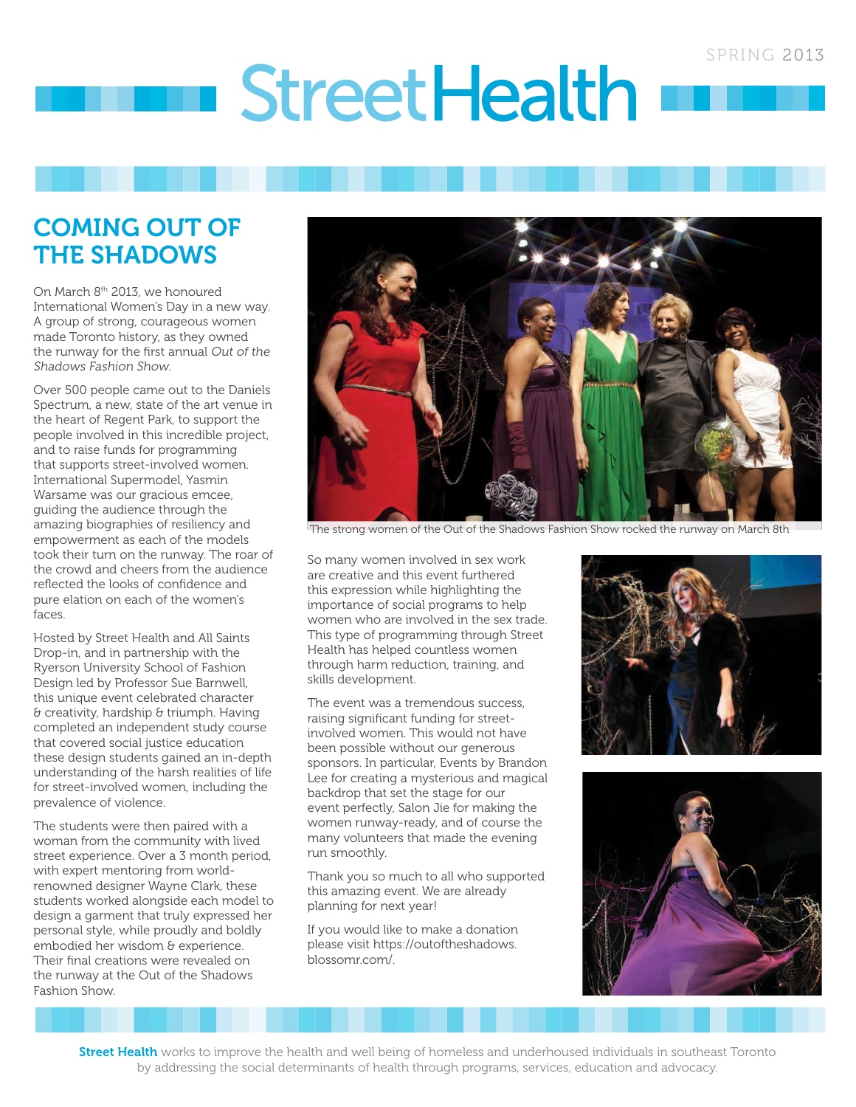# **StreetHealth**

# COMING OUT OF THE SHADOWS

On March 8<sup>th</sup> 2013, we honoured International Women's Day in a new way. A group of strong, courageous women made Toronto history, as they owned the runway for the first annual Out of the Shadows Fashion Show.

Over 500 people came out to the Daniels Spectrum, a new, state of the art venue in the heart of Regent Park, to support the people involved in this incredible project, and to raise funds for programming that supports street-involved women. International Supermodel, Yasmin Warsame was our gracious emcee. guiding the audience through the amazing biographies of resiliency and empowerment as each of the models took their turn on the runway. The roar of the crowd and cheers from the audience reflected the looks of confidence and pure elation on each of the women's faces.

Hosted by Street Health and All Saints Drop-in, and in partnership with the Ryerson University School of Fashion Design led by Professor Sue Barnwell, this unique event celebrated character & creativity, hardship & triumph. Having completed an independent study course that covered social justice education these design students gained an in-depth understanding of the harsh realities of life for street-involved women, including the prevalence of violence.

The students were then paired with a woman from the community with lived street experience. Over a 3 month period, with expert mentoring from worldrenowned designer Wayne Clark, these students worked alongside each model to design a garment that truly expressed her personal style, while proudly and boldly embodied her wisdom & experience. Their final creations were revealed on the runway at the Out of the Shadows Fashion Show.



The strong women of the Out of the Shadows Fashion Show rocked the runway on March 8th

So many women involved in sex work are creative and this event furthered this expression while highlighting the importance of social programs to help women who are involved in the sex trade. This type of programming through Street Health has helped countless women through harm reduction, training, and skills development.

The event was a tremendous success, raising significant funding for streetinvolved women. This would not have been possible without our generous sponsors. In particular, Events by Brandon Lee for creating a mysterious and magical backdrop that set the stage for our event perfectly, Salon Jie for making the women runway-ready, and of course the many volunteers that made the evening run smoothly.

Thank you so much to all who supported this amazing event. We are already planning for next year!

If you would like to make a donation please visit https://outoftheshadows. blossomr.com/.





Street Health works to improve the health and well being of homeless and underhoused individuals in southeast Toronto by addressing the social determinants of health through programs, services, education and advocacy.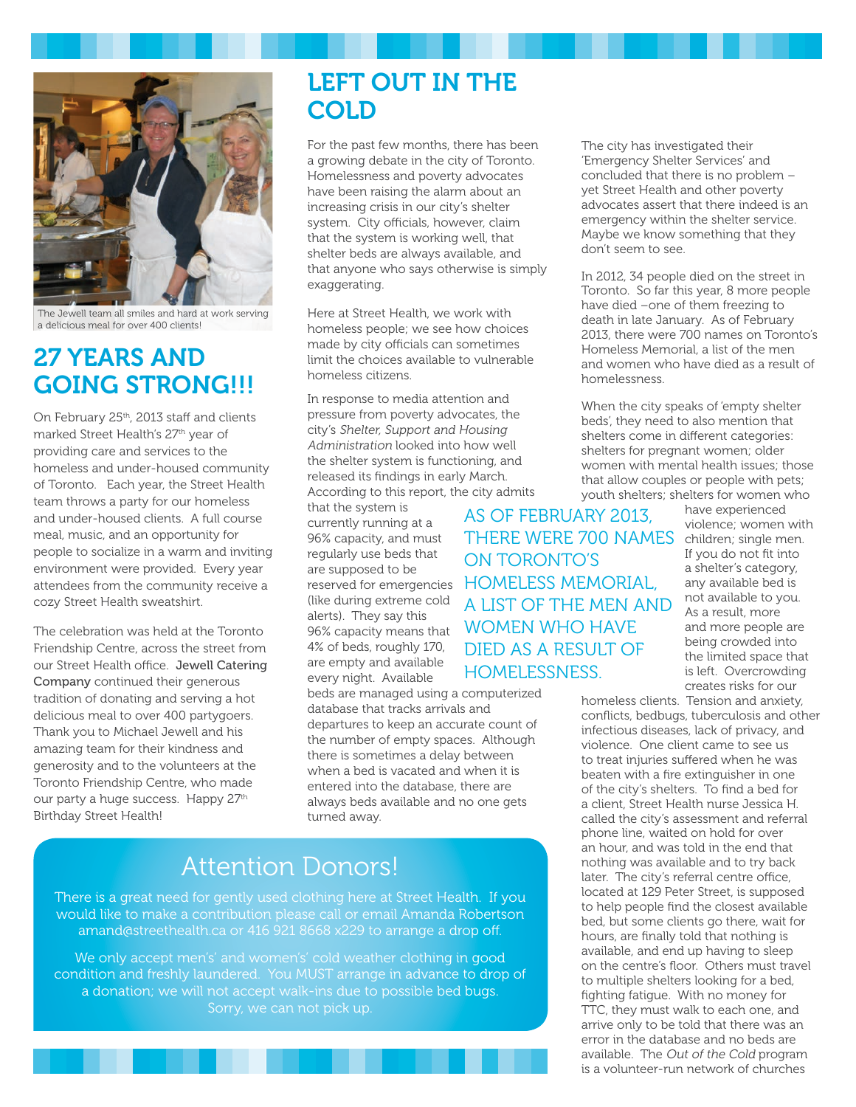

The Jewell team all smiles and hard at work serving a delicious meal for over 400 clients!

# 27 YEARS AND GOING STRONG!!!

On February 25<sup>th</sup>, 2013 staff and clients marked Street Health's 27<sup>th</sup> year of providing care and services to the homeless and under-housed community of Toronto. Each year, the Street Health team throws a party for our homeless and under-housed clients. A full course meal, music, and an opportunity for people to socialize in a warm and inviting environment were provided. Every year attendees from the community receive a cozy Street Health sweatshirt.

The celebration was held at the Toronto Friendship Centre, across the street from our Street Health office. Jewell Catering Company continued their generous tradition of donating and serving a hot delicious meal to over 400 partygoers. Thank you to Michael Jewell and his amazing team for their kindness and generosity and to the volunteers at the Toronto Friendship Centre, who made our party a huge success. Happy 27th Birthday Street Health!

# LEFT OUT IN THE COLD

For the past few months, there has been a growing debate in the city of Toronto. Homelessness and poverty advocates have been raising the alarm about an increasing crisis in our city's shelter system. City officials, however, claim that the system is working well, that shelter beds are always available, and that anyone who says otherwise is simply exaggerating.

Here at Street Health, we work with homeless people; we see how choices made by city officials can sometimes limit the choices available to vulnerable homeless citizens.

In response to media attention and pressure from poverty advocates, the city's Shelter, Support and Housing Administration looked into how well the shelter system is functioning, and released its findings in early March. According to this report, the city admits

that the system is currently running at a 96% capacity, and must regularly use beds that are supposed to be alerts). They say this 4% of beds, roughly 170, are empty and available every night. Available

beds are managed using a computerized database that tracks arrivals and departures to keep an accurate count of the number of empty spaces. Although there is sometimes a delay between when a bed is vacated and when it is entered into the database, there are always beds available and no one gets turned away.

# Attention Donors!

There is a great need for gently used clothing here at Street Health. If you would like to make a contribution please call or email Amanda Robertson amand@streethealth.ca or 416 921 8668 x229 to arrange a drop off.

We only accept men's' and women's' cold weather clothing in good condition and freshly laundered. You MUST arrange in advance to drop of a donation; we will not accept walk-ins due to possible bed bugs.

The city has investigated their 'Emergency Shelter Services' and concluded that there is no problem – yet Street Health and other poverty advocates assert that there indeed is an emergency within the shelter service. Maybe we know something that they don't seem to see.

In 2012, 34 people died on the street in Toronto. So far this year, 8 more people have died –one of them freezing to death in late January. As of February 2013, there were 700 names on Toronto's Homeless Memorial, a list of the men and women who have died as a result of homelessness.

When the city speaks of 'empty shelter beds', they need to also mention that shelters come in different categories: shelters for pregnant women; older women with mental health issues; those that allow couples or people with pets; youth shelters; shelters for women who

reserved for emergencies HOMELESS MEMORIAL, (like during extreme cold <br>electe) They sex this 96% capacity means that WOMEN WHO HAVE THERE WERE 700 NAMES children; single men. AS OF FEBRUARY 2013, ON TORONTO'S DIED AS A RESULT OF HOMELESSNESS.

have experienced violence; women with If you do not fit into a shelter's category, any available bed is not available to you. As a result, more and more people are being crowded into the limited space that is left. Overcrowding creates risks for our

homeless clients. Tension and anxiety, conflicts, bedbugs, tuberculosis and other infectious diseases, lack of privacy, and violence. One client came to see us to treat injuries suffered when he was beaten with a fire extinguisher in one of the city's shelters. To find a bed for a client, Street Health nurse Jessica H. called the city's assessment and referral phone line, waited on hold for over an hour, and was told in the end that nothing was available and to try back later. The city's referral centre office, located at 129 Peter Street, is supposed to help people find the closest available bed, but some clients go there, wait for hours, are finally told that nothing is available, and end up having to sleep on the centre's floor. Others must travel to multiple shelters looking for a bed, fighting fatigue. With no money for TTC, they must walk to each one, and arrive only to be told that there was an error in the database and no beds are available. The Out of the Cold program is a volunteer-run network of churches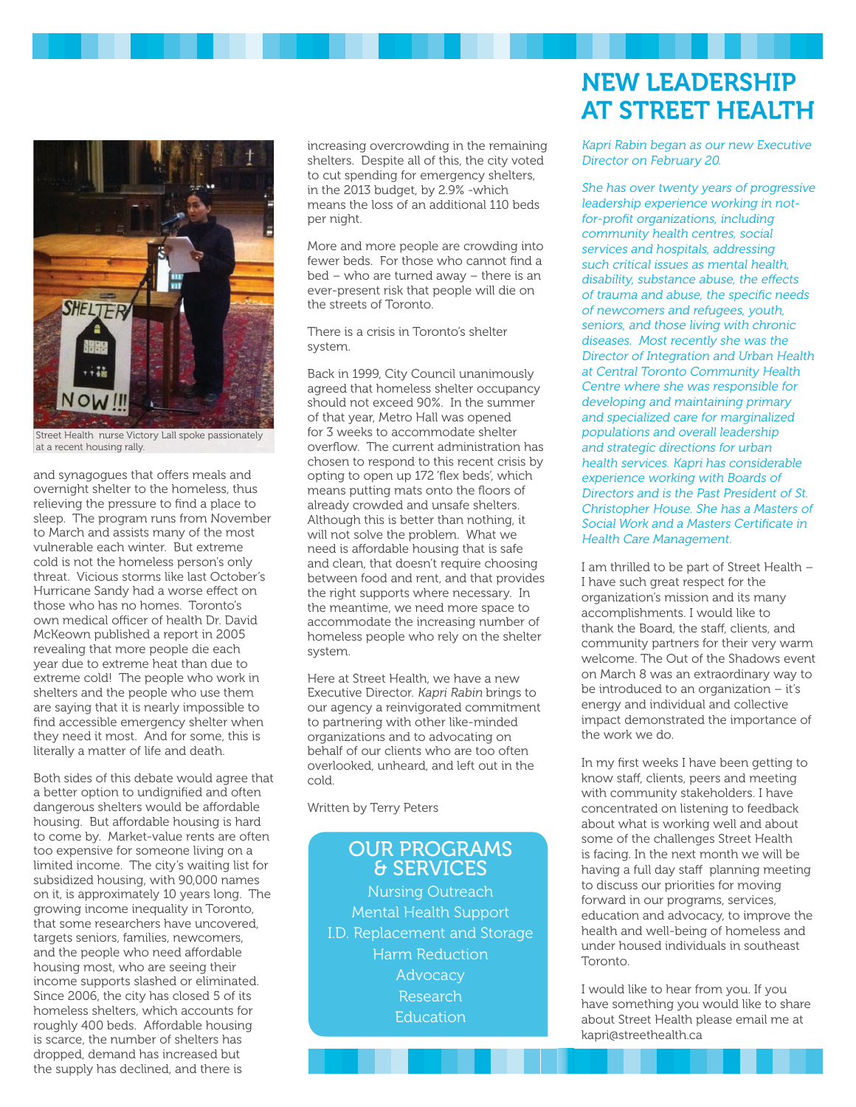

Street Health nurse Victory Lall spoke passionately at a recent housing rally.

and synagogues that offers meals and overnight shelter to the homeless, thus relieving the pressure to find a place to sleep. The program runs from November to March and assists many of the most vulnerable each winter. But extreme cold is not the homeless person's only threat. Vicious storms like last October's Hurricane Sandy had a worse effect on those who has no homes. Toronto's own medical officer of health Dr. David McKeown published a report in 2005 revealing that more people die each year due to extreme heat than due to extreme cold! The people who work in shelters and the people who use them are saying that it is nearly impossible to find accessible emergency shelter when they need it most. And for some, this is literally a matter of life and death.

Both sides of this debate would agree that a better option to undignified and often dangerous shelters would be affordable housing. But affordable housing is hard to come by. Market-value rents are often too expensive for someone living on a limited income. The city's waiting list for subsidized housing, with 90,000 names on it, is approximately 10 years long. The growing income inequality in Toronto, that some researchers have uncovered, targets seniors, families, newcomers, and the people who need affordable housing most, who are seeing their income supports slashed or eliminated. Since 2006, the city has closed 5 of its homeless shelters, which accounts for roughly 400 beds. Affordable housing is scarce, the number of shelters has dropped, demand has increased but the supply has declined, and there is

increasing overcrowding in the remaining shelters. Despite all of this, the city voted to cut spending for emergency shelters, in the 2013 budget, by 2.9% -which means the loss of an additional 110 beds per night.

More and more people are crowding into fewer beds. For those who cannot find a bed – who are turned away – there is an ever-present risk that people will die on the streets of Toronto.

There is a crisis in Toronto's shelter system.

Back in 1999, City Council unanimously agreed that homeless shelter occupancy should not exceed 90%. In the summer of that year, Metro Hall was opened for 3 weeks to accommodate shelter overflow. The current administration has chosen to respond to this recent crisis by opting to open up 172 'flex beds', which means putting mats onto the floors of already crowded and unsafe shelters. Although this is better than nothing, it will not solve the problem. What we need is affordable housing that is safe and clean, that doesn't require choosing between food and rent, and that provides the right supports where necessary. In the meantime, we need more space to accommodate the increasing number of homeless people who rely on the shelter system.

Here at Street Health, we have a new Executive Director. Kapri Rabin brings to our agency a reinvigorated commitment to partnering with other like-minded organizations and to advocating on behalf of our clients who are too often overlooked, unheard, and left out in the cold.

Written by Terry Peters

### OUR PROGRAMS & SERVICES Nursing Outreach Mental Health Support I.D. Replacement and Storage Harm Reduction **Advocacy** Research

Education

# NEW LEADERSHIP AT STREET HEALTH

Kapri Rabin began as our new Executive Director on February 20.

She has over twenty years of progressive leadership experience working in notfor-profit organizations, including community health centres, social services and hospitals, addressing such critical issues as mental health. disability, substance abuse, the effects of trauma and abuse, the specific needs of newcomers and refugees, youth, seniors, and those living with chronic diseases. Most recently she was the Director of Integration and Urban Health at Central Toronto Community Health Centre where she was responsible for developing and maintaining primary and specialized care for marginalized populations and overall leadership and strategic directions for urban health services. Kapri has considerable experience working with Boards of Directors and is the Past President of St. Christopher House. She has a Masters of Social Work and a Masters Certificate in Health Care Management.

I am thrilled to be part of Street Health – I have such great respect for the organization's mission and its many accomplishments. I would like to thank the Board, the staff, clients, and community partners for their very warm welcome. The Out of the Shadows event on March 8 was an extraordinary way to be introduced to an organization – it's energy and individual and collective impact demonstrated the importance of the work we do.

In my first weeks I have been getting to know staff, clients, peers and meeting with community stakeholders. I have concentrated on listening to feedback about what is working well and about some of the challenges Street Health is facing. In the next month we will be having a full day staff planning meeting to discuss our priorities for moving forward in our programs, services, education and advocacy, to improve the health and well-being of homeless and under housed individuals in southeast Toronto.

I would like to hear from you. If you have something you would like to share about Street Health please email me at kapri@streethealth.ca